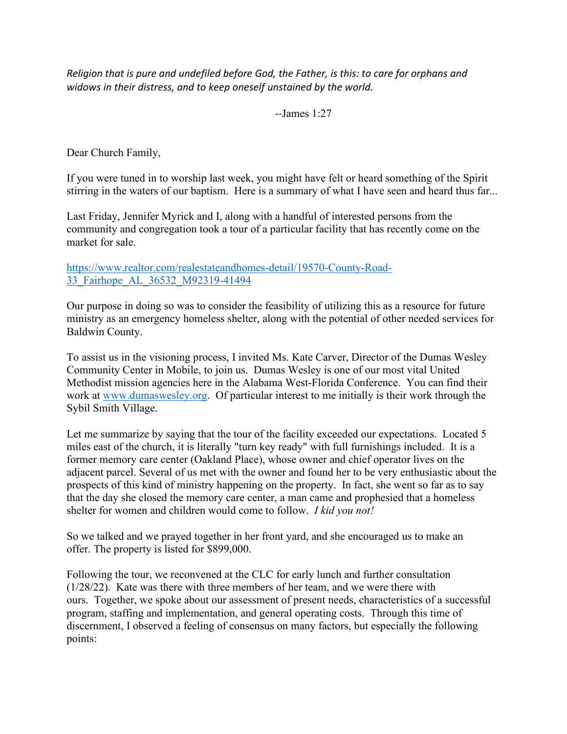*Religion that is pure and undefiled before God, the Father, is this: to care for orphans and widows in their distress, and to keep oneself unstained by the world.*

*--*James 1:27

Dear Church Family,

If you were tuned in to worship last week, you might have felt or heard something of the Spirit stirring in the waters of our baptism. Here is a summary of what I have seen and heard thus far...

Last Friday, Jennifer Myrick and I, along with a handful of interested persons from the community and congregation took a tour of a particular facility that has recently come on the market for sale.

[https://www.realtor.com/realestateandhomes-detail/19570-County-Road-](https://www.realtor.com/realestateandhomes-detail/19570-County-Road-33_Fairhope_AL_36532_M92319-41494)[33\\_Fairhope\\_AL\\_36532\\_M92319-41494](https://www.realtor.com/realestateandhomes-detail/19570-County-Road-33_Fairhope_AL_36532_M92319-41494)

Our purpose in doing so was to consider the feasibility of utilizing this as a resource for future ministry as an emergency homeless shelter, along with the potential of other needed services for Baldwin County.

To assist us in the visioning process, I invited Ms. Kate Carver, Director of the Dumas Wesley Community Center in Mobile, to join us. Dumas Wesley is one of our most vital United Methodist mission agencies here in the Alabama West-Florida Conference. You can find their work at [www.dumaswesley.org.](http://www.dumaswesley.org/) Of particular interest to me initially is their work through the Sybil Smith Village.

Let me summarize by saying that the tour of the facility exceeded our expectations. Located 5 miles east of the church, it is literally "turn key ready" with full furnishings included. It is a former memory care center (Oakland Place), whose owner and chief operator lives on the adjacent parcel. Several of us met with the owner and found her to be very enthusiastic about the prospects of this kind of ministry happening on the property. In fact, she went so far as to say that the day she closed the memory care center, a man came and prophesied that a homeless shelter for women and children would come to follow. *I kid you not!*

So we talked and we prayed together in her front yard, and she encouraged us to make an offer. The property is listed for \$899,000.

Following the tour, we reconvened at the CLC for early lunch and further consultation (1/28/22). Kate was there with three members of her team, and we were there with ours. Together, we spoke about our assessment of present needs, characteristics of a successful program, staffing and implementation, and general operating costs. Through this time of discernment, I observed a feeling of consensus on many factors, but especially the following points: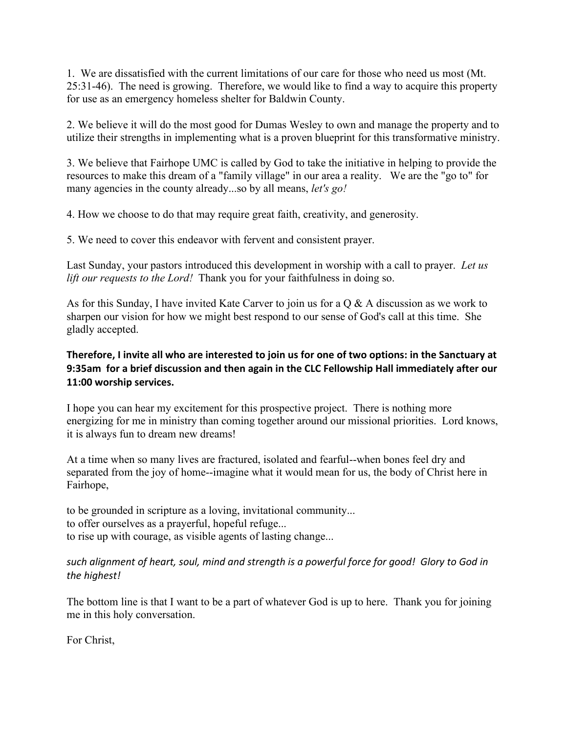1. We are dissatisfied with the current limitations of our care for those who need us most (Mt. 25:31-46). The need is growing. Therefore, we would like to find a way to acquire this property for use as an emergency homeless shelter for Baldwin County.

2. We believe it will do the most good for Dumas Wesley to own and manage the property and to utilize their strengths in implementing what is a proven blueprint for this transformative ministry.

3. We believe that Fairhope UMC is called by God to take the initiative in helping to provide the resources to make this dream of a "family village" in our area a reality. We are the "go to" for many agencies in the county already...so by all means, *let's go!*

4. How we choose to do that may require great faith, creativity, and generosity.

5. We need to cover this endeavor with fervent and consistent prayer.

Last Sunday, your pastors introduced this development in worship with a call to prayer. *Let us lift our requests to the Lord!* Thank you for your faithfulness in doing so.

As for this Sunday, I have invited Kate Carver to join us for a Q & A discussion as we work to sharpen our vision for how we might best respond to our sense of God's call at this time. She gladly accepted.

## **Therefore, I invite all who are interested to join us for one of two options: in the Sanctuary at 9:35am for a brief discussion and then again in the CLC Fellowship Hall immediately after our 11:00 worship services.**

I hope you can hear my excitement for this prospective project. There is nothing more energizing for me in ministry than coming together around our missional priorities. Lord knows, it is always fun to dream new dreams!

At a time when so many lives are fractured, isolated and fearful--when bones feel dry and separated from the joy of home--imagine what it would mean for us, the body of Christ here in Fairhope,

to be grounded in scripture as a loving, invitational community... to offer ourselves as a prayerful, hopeful refuge... to rise up with courage, as visible agents of lasting change...

## *such alignment of heart, soul, mind and strength is a powerful force for good! Glory to God in the highest!*

The bottom line is that I want to be a part of whatever God is up to here. Thank you for joining me in this holy conversation.

For Christ,